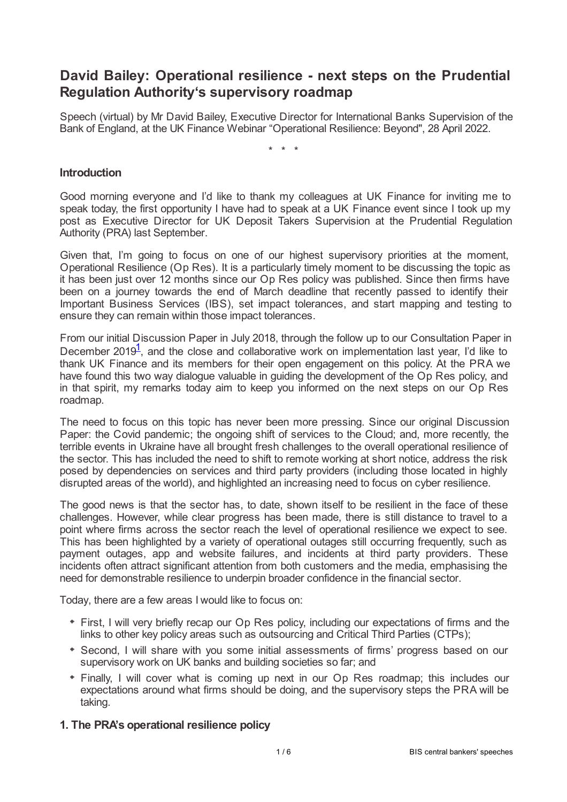# **David Bailey: Operational resilience - next steps on the Prudential Regulation Authority's supervisory roadmap**

Speech (virtual) by Mr David Bailey, Executive Director for International Banks Supervision of the Bank of England, at the UK Finance Webinar "Operational Resilience: Beyond", 28 April 2022.

\* \* \*

## **Introduction**

Good morning everyone and I'd like to thank my colleagues at UK Finance for inviting me to speak today, the first opportunity I have had to speak at a UK Finance event since I took up my post as Executive Director for UK Deposit Takers Supervision at the Prudential Regulation Authority (PRA) last September.

Given that, I'm going to focus on one of our highest supervisory priorities at the moment, Operational Resilience (Op Res). It is a particularly timely moment to be discussing the topic as it has been just over 12 months since our Op Res policy was published. Since then firms have been on a journey towards the end of March deadline that recently passed to identify their Important Business Services (IBS), set impact tolerances, and start mapping and testing to ensure they can remain within those impact tolerances.

<span id="page-0-0"></span>From our initial Discussion Paper in July 2018, through the follow up to our Consultation Paper in December 20[1](#page-5-0)9<sup>1</sup>, and the close and collaborative work on implementation last year, I'd like to thank UK Finance and its members for their open engagement on this policy. At the PRA we have found this two way dialogue valuable in guiding the development of the Op Res policy, and in that spirit, my remarks today aim to keep you informed on the next steps on our Op Res roadmap.

The need to focus on this topic has never been more pressing. Since our original Discussion Paper: the Covid pandemic; the ongoing shift of services to the Cloud; and, more recently, the terrible events in Ukraine have all brought fresh challenges to the overall operational resilience of the sector. This has included the need to shift to remote working at short notice, address the risk posed by dependencies on services and third party providers (including those located in highly disrupted areas of the world), and highlighted an increasing need to focus on cyber resilience.

The good news is that the sector has, to date, shown itself to be resilient in the face of these challenges. However, while clear progress has been made, there is still distance to travel to a point where firms across the sector reach the level of operational resilience we expect to see. This has been highlighted by a variety of operational outages still occurring frequently, such as payment outages, app and website failures, and incidents at third party providers. These incidents often attract significant attention from both customers and the media, emphasising the need for demonstrable resilience to underpin broader confidence in the financial sector.

Today, there are a few areas I would like to focus on:

- First, I will very briefly recap our Op Res policy, including our expectations of firms and the links to other key policy areas such as outsourcing and Critical Third Parties (CTPs);
- Second, I will share with you some initial assessments of firms' progress based on our supervisory work on UK banks and building societies so far; and
- Finally, I will cover what is coming up next in our Op Res roadmap; this includes our expectations around what firms should be doing, and the supervisory steps the PRA will be taking.

# **1. The PRA's operational resilience policy**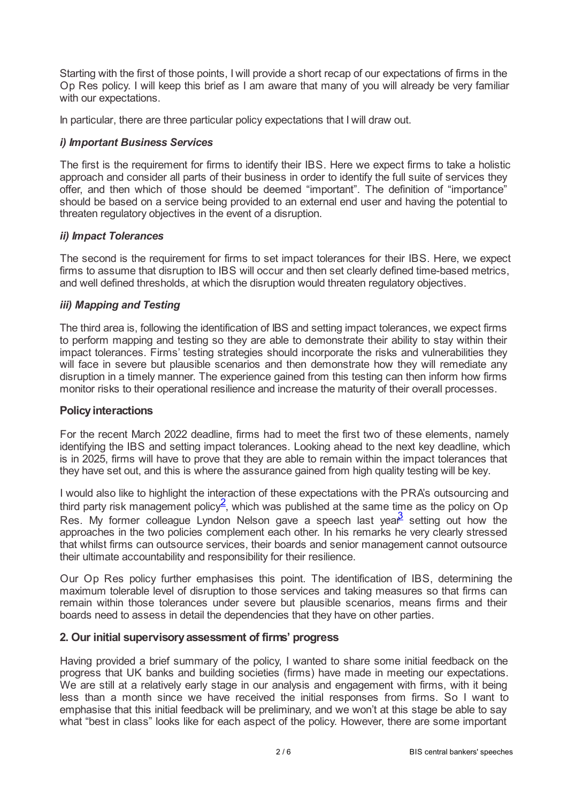Starting with the first of those points, I will provide a short recap of our expectations of firms in the Op Res policy. I will keep this brief as I am aware that many of you will already be very familiar with our expectations.

In particular, there are three particular policy expectations that I will draw out.

# *i) Important Business Services*

The first is the requirement for firms to identify their IBS. Here we expect firms to take a holistic approach and consider all parts of their business in order to identify the full suite of services they offer, and then which of those should be deemed "important". The definition of "importance" should be based on a service being provided to an external end user and having the potential to threaten regulatory objectives in the event of a disruption.

# *ii) Impact Tolerances*

The second is the requirement for firms to set impact tolerances for their IBS. Here, we expect firms to assume that disruption to IBS will occur and then set clearly defined time-based metrics, and well defined thresholds, at which the disruption would threaten regulatory objectives.

# *iii) Mapping and Testing*

The third area is, following the identification of IBS and setting impact tolerances, we expect firms to perform mapping and testing so they are able to demonstrate their ability to stay within their impact tolerances. Firms' testing strategies should incorporate the risks and vulnerabilities they will face in severe but plausible scenarios and then demonstrate how they will remediate any disruption in a timely manner. The experience gained from this testing can then inform how firms monitor risks to their operational resilience and increase the maturity of their overall processes.

## **Policy interactions**

For the recent March 2022 deadline, firms had to meet the first two of these elements, namely identifying the IBS and setting impact tolerances. Looking ahead to the next key deadline, which is in 2025, firms will have to prove that they are able to remain within the impact tolerances that they have set out, and this is where the assurance gained from high quality testing will be key.

<span id="page-1-1"></span><span id="page-1-0"></span>I would also like to highlight the interaction of these expectations with the PRA's outsourcing and third party risk management policy<sup>[2](#page-5-1)</sup>, which was published at the same time as the policy on Op Res. My former colleague Lyndon Nelson gave a speech last yea $\frac{3}{2}$  $\frac{3}{2}$  $\frac{3}{2}$  setting out how the approaches in the two policies complement each other. In his remarks he very clearly stressed that whilst firms can outsource services, their boards and senior management cannot outsource their ultimate accountability and responsibility for their resilience.

Our Op Res policy further emphasises this point. The identification of IBS, determining the maximum tolerable level of disruption to those services and taking measures so that firms can remain within those tolerances under severe but plausible scenarios, means firms and their boards need to assess in detail the dependencies that they have on other parties.

# **2. Our initial supervisoryassessment of firms' progress**

Having provided a brief summary of the policy, I wanted to share some initial feedback on the progress that UK banks and building societies (firms) have made in meeting our expectations. We are still at a relatively early stage in our analysis and engagement with firms, with it being less than a month since we have received the initial responses from firms. So I want to emphasise that this initial feedback will be preliminary, and we won't at this stage be able to say what "best in class" looks like for each aspect of the policy. However, there are some important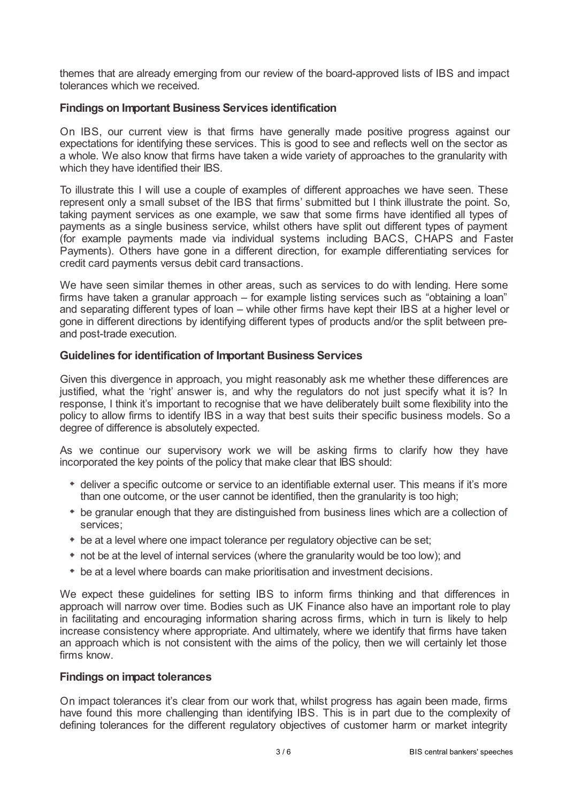themes that are already emerging from our review of the board-approved lists of IBS and impact tolerances which we received.

# **Findings on Important Business Services identification**

On IBS, our current view is that firms have generally made positive progress against our expectations for identifying these services. This is good to see and reflects well on the sector as a whole. We also know that firms have taken a wide variety of approaches to the granularity with which they have identified their IBS.

To illustrate this I will use a couple of examples of different approaches we have seen. These represent only a small subset of the IBS that firms' submitted but I think illustrate the point. So, taking payment services as one example, we saw that some firms have identified all types of payments as a single business service, whilst others have split out different types of payment (for example payments made via individual systems including BACS, CHAPS and Faster Payments). Others have gone in a different direction, for example differentiating services for credit card payments versus debit card transactions.

We have seen similar themes in other areas, such as services to do with lending. Here some firms have taken a granular approach – for example listing services such as "obtaining a loan" and separating different types of loan – while other firms have kept their IBS at a higher level or gone in different directions by identifying different types of products and/or the split between preand post-trade execution.

# **Guidelines for identification of Important Business Services**

Given this divergence in approach, you might reasonably ask me whether these differences are justified, what the 'right' answer is, and why the regulators do not just specify what it is? In response, I think it's important to recognise that we have deliberately built some flexibility into the policy to allow firms to identify IBS in a way that best suits their specific business models. So a degree of difference is absolutely expected.

As we continue our supervisory work we will be asking firms to clarify how they have incorporated the key points of the policy that make clear that IBS should:

- deliver a specific outcome or service to an identifiable external user. This means if it's more than one outcome, or the user cannot be identified, then the granularity is too high;
- be granular enough that they are distinguished from business lines which are a collection of services;
- be at a level where one impact tolerance per regulatory objective can be set;
- not be at the level of internal services (where the granularity would be too low); and
- be at a level where boards can make prioritisation and investment decisions.

We expect these guidelines for setting IBS to inform firms thinking and that differences in approach will narrow over time. Bodies such as UK Finance also have an important role to play in facilitating and encouraging information sharing across firms, which in turn is likely to help increase consistency where appropriate. And ultimately, where we identify that firms have taken an approach which is not consistent with the aims of the policy, then we will certainly let those firms know.

## **Findings on impact tolerances**

On impact tolerances it's clear from our work that, whilst progress has again been made, firms have found this more challenging than identifying IBS. This is in part due to the complexity of defining tolerances for the different regulatory objectives of customer harm or market integrity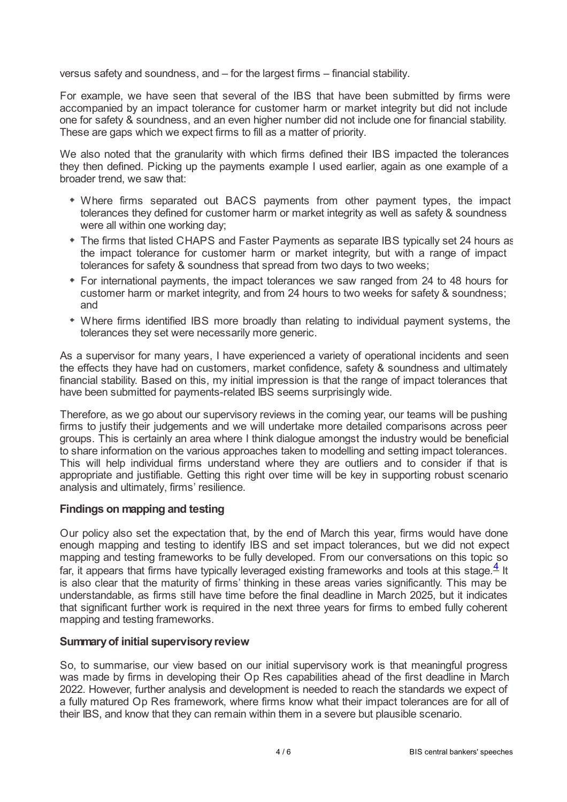versus safety and soundness, and – for the largest firms – financial stability.

For example, we have seen that several of the IBS that have been submitted by firms were accompanied by an impact tolerance for customer harm or market integrity but did not include one for safety & soundness, and an even higher number did not include one for financial stability. These are gaps which we expect firms to fill as a matter of priority.

We also noted that the granularity with which firms defined their IBS impacted the tolerances they then defined. Picking up the payments example I used earlier, again as one example of a broader trend, we saw that:

- Where firms separated out BACS payments from other payment types, the impact tolerances they defined for customer harm or market integrity as well as safety & soundness were all within one working day;
- The firms that listed CHAPS and Faster Payments as separate IBS typically set 24 hours as the impact tolerance for customer harm or market integrity, but with a range of impact tolerances for safety & soundness that spread from two days to two weeks;
- For international payments, the impact tolerances we saw ranged from 24 to 48 hours for customer harm or market integrity, and from 24 hours to two weeks for safety & soundness; and
- Where firms identified IBS more broadly than relating to individual payment systems, the tolerances they set were necessarily more generic.

As a supervisor for many years, I have experienced a variety of operational incidents and seen the effects they have had on customers, market confidence, safety & soundness and ultimately financial stability. Based on this, my initial impression is that the range of impact tolerances that have been submitted for payments-related IBS seems surprisingly wide.

Therefore, as we go about our supervisory reviews in the coming year, our teams will be pushing firms to justify their judgements and we will undertake more detailed comparisons across peer groups. This is certainly an area where I think dialogue amongst the industry would be beneficial to share information on the various approaches taken to modelling and setting impact tolerances. This will help individual firms understand where they are outliers and to consider if that is appropriate and justifiable. Getting this right over time will be key in supporting robust scenario analysis and ultimately, firms' resilience.

# **Findings on mapping and testing**

<span id="page-3-0"></span>Our policy also set the expectation that, by the end of March this year, firms would have done enough mapping and testing to identify IBS and set impact tolerances, but we did not expect mapping and testing frameworks to be fully developed. From our conversations on this topic so far, it appears that firms have typically leveraged existing frameworks and tools at this stage. $\frac{4}{5}$  $\frac{4}{5}$  $\frac{4}{5}$  It is also clear that the maturity of firms' thinking in these areas varies significantly. This may be understandable, as firms still have time before the final deadline in March 2025, but it indicates that significant further work is required in the next three years for firms to embed fully coherent mapping and testing frameworks.

#### **Summaryof initial supervisoryreview**

So, to summarise, our view based on our initial supervisory work is that meaningful progress was made by firms in developing their Op Res capabilities ahead of the first deadline in March 2022. However, further analysis and development is needed to reach the standards we expect of a fully matured Op Res framework, where firms know what their impact tolerances are for all of their IBS, and know that they can remain within them in a severe but plausible scenario.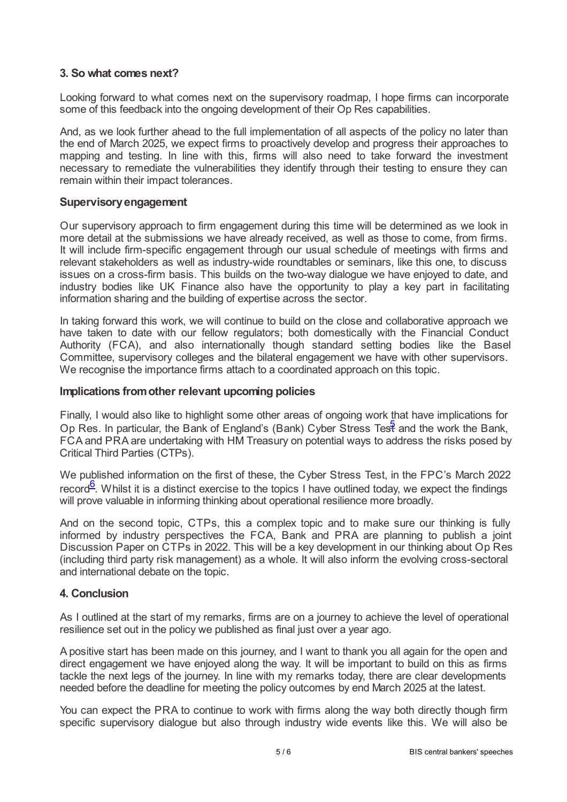# **3. So what comes next?**

Looking forward to what comes next on the supervisory roadmap, I hope firms can incorporate some of this feedback into the ongoing development of their Op Res capabilities.

And, as we look further ahead to the full implementation of all aspects of the policy no later than the end of March 2025, we expect firms to proactively develop and progress their approaches to mapping and testing. In line with this, firms will also need to take forward the investment necessary to remediate the vulnerabilities they identify through their testing to ensure they can remain within their impact tolerances.

## **Supervisoryengagement**

Our supervisory approach to firm engagement during this time will be determined as we look in more detail at the submissions we have already received, as well as those to come, from firms. It will include firm-specific engagement through our usual schedule of meetings with firms and relevant stakeholders as well as industry-wide roundtables or seminars, like this one, to discuss issues on a cross-firm basis. This builds on the two-way dialogue we have enjoyed to date, and industry bodies like UK Finance also have the opportunity to play a key part in facilitating information sharing and the building of expertise across the sector.

In taking forward this work, we will continue to build on the close and collaborative approach we have taken to date with our fellow regulators; both domestically with the Financial Conduct Authority (FCA), and also internationally though standard setting bodies like the Basel Committee, supervisory colleges and the bilateral engagement we have with other supervisors. We recognise the importance firms attach to a coordinated approach on this topic.

## **Implications fromother relevant upcoming policies**

<span id="page-4-0"></span>Finally, I would also like to highlight some other areas of ongoing work that have implications for Op Res. In particular, the Bank of England's (Bank) Cyber Stress Te[st](#page-5-4) and the work the Bank, FCA and PRA are undertaking with HM Treasury on potential ways to address the risks posed by Critical Third Parties (CTPs).

<span id="page-4-1"></span>We published information on the first of these, the Cyber Stress Test, in the FPC's March 2022 record<sup>[6](#page-5-5)</sup>. Whilst it is a distinct exercise to the topics I have outlined today, we expect the findings will prove valuable in informing thinking about operational resilience more broadly.

And on the second topic, CTPs, this a complex topic and to make sure our thinking is fully informed by industry perspectives the FCA, Bank and PRA are planning to publish a joint Discussion Paper on CTPs in 2022. This will be a key development in our thinking about Op Res (including third party risk management) as a whole. It will also inform the evolving cross-sectoral and international debate on the topic.

## **4. Conclusion**

As I outlined at the start of my remarks, firms are on a journey to achieve the level of operational resilience set out in the policy we published as final just over a year ago.

A positive start has been made on this journey, and I want to thank you all again for the open and direct engagement we have enjoyed along the way. It will be important to build on this as firms tackle the next legs of the journey. In line with my remarks today, there are clear developments needed before the deadline for meeting the policy outcomes by end March 2025 at the latest.

You can expect the PRA to continue to work with firms along the way both directly though firm specific supervisory dialogue but also through industry wide events like this. We will also be